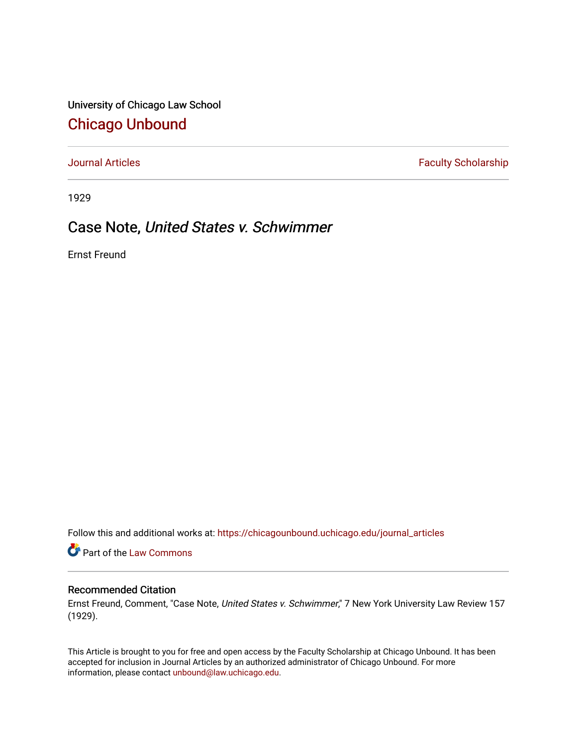University of Chicago Law School [Chicago Unbound](https://chicagounbound.uchicago.edu/)

[Journal Articles](https://chicagounbound.uchicago.edu/journal_articles) **Faculty Scholarship Faculty Scholarship** 

1929

# Case Note, United States v. Schwimmer

Ernst Freund

Follow this and additional works at: [https://chicagounbound.uchicago.edu/journal\\_articles](https://chicagounbound.uchicago.edu/journal_articles?utm_source=chicagounbound.uchicago.edu%2Fjournal_articles%2F7834&utm_medium=PDF&utm_campaign=PDFCoverPages) 

Part of the [Law Commons](http://network.bepress.com/hgg/discipline/578?utm_source=chicagounbound.uchicago.edu%2Fjournal_articles%2F7834&utm_medium=PDF&utm_campaign=PDFCoverPages)

## Recommended Citation

Ernst Freund, Comment, "Case Note, United States v. Schwimmer," 7 New York University Law Review 157 (1929).

This Article is brought to you for free and open access by the Faculty Scholarship at Chicago Unbound. It has been accepted for inclusion in Journal Articles by an authorized administrator of Chicago Unbound. For more information, please contact [unbound@law.uchicago.edu](mailto:unbound@law.uchicago.edu).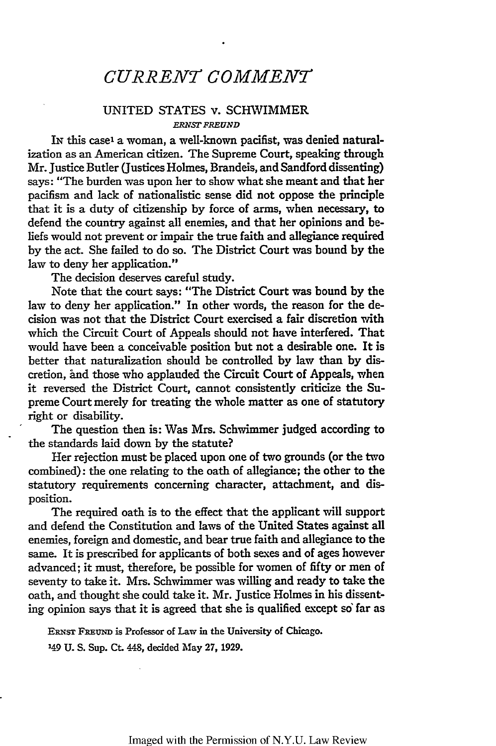## *CURRENT COMMENr*

### UNITED STATES v. SCHWIMMER *ERNST FREUND*

In this case<sup>1</sup> a woman, a well-known pacifist, was denied naturalization as an American citizen. The Supreme Court, speaking through Mr. Justice Butler (Justices Holmes, Brandeis, and Sandford dissenting) says: "The burden was upon her to show what she meant and that her pacifism and lack of nationalistic sense did not oppose the principle that it is a duty of citizenship by force of arms, when necessary, to defend the country against all enemies, and that her opinions and beliefs would not prevent or impair the true faith and allegiance required by the act. She failed to do so. The District Court was bound by the law to deny her application."

The decision deserves careful study.

Note that the court says: "The District Court was bound by the law to deny her application." In other words, the reason for the decision was not that the District Court exercised a fair discretion with which the Circuit Court of Appeals should not have interfered. That would have been a conceivable position but not a desirable one. It is better that naturalization should be controlled by law than by discretion, and those who applauded the Circuit Court of Appeals, when it reversed the District Court, cannot consistently criticize the Supreme Court merely for treating the whole matter as one of statutory right or disability.

The question then is: Was Mrs. Schwimmer judged according to the standards laid down by the statute?

Her rejection must be placed upon one of two grounds (or the two combined): the one relating to the oath of allegiance; the other to the statutory requirements concerning character, attachment, and disposition.

The required oath is to the effect that the applicant will support and defend the Constitution and laws of the United States against all enemies, foreign and domestic, and bear true faith and allegiance to the same. It is prescribed for applicants of both sexes and of ages however advanced; it must, therefore, be possible for women of fifty or men of seventy to take it. Mrs. Schwimmer was willing and ready to take the oath, and thought she could take it. Mr. Justice Holmes in his dissenting opinion says that it is agreed that she is qualified except so far as

ERNST FREUND is Professor of Law in the University of Chicago.

<sup>149</sup> U. S. Sup. Ct. 448, decided May 27, 1929.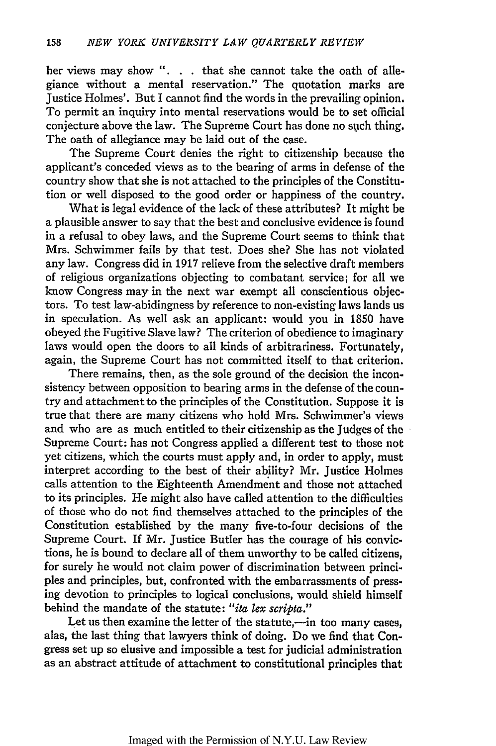her views may show ". **.** that she cannot take the oath of allegiance without a mental reservation." The quotation marks are Justice Holmes'. But I cannot find the words in the prevailing opinion. To permit an inquiry into mental reservations would be to set official conjecture above the law. The Supreme Court has done no such thing. The oath of allegiance may be laid out of the case.

The Supreme Court denies the right to citizenship because the applicant's conceded views as to the bearing of arms in defense of the country show that she is not attached to the principles of the Constitution or well disposed to the good order or happiness of the country.

What is legal evidence of the lack of these attributes? It might be a plausible answer to say that the best and conclusive evidence is found in a refusal to obey laws, and the Supreme Court seems to think that Mrs. Schwimmer fails by that test. Does she? She has not violated any law. Congress did in 1917 relieve from the selective draft members of religious organizations objecting to combatant service; for all we know Congress may in the next war exempt all conscientious objectors. To test law-abidingness by reference to non-existing laws lands us in speculation. As well ask an applicant: would you in 1850 have obeyed the Fugitive Slave law? The criterion of obedience to imaginary laws would open the doors to all kinds of arbitrariness. Fortunately, again, the Supreme Court has not committed itself to that criterion.

There remains, then, as the sole ground of the decision the inconsistency between opposition to bearing arms in the defense of the country and attachment to the principles of the Constitution. Suppose it is true that there are many citizens who hold Mrs. Schwimmer's views and who are as much entitled to their citizenship as the Judges of the Supreme Court: has not Congress applied a different test to those not yet citizens, which the courts must apply and, in order to apply, must interpret according to the best of their ability? Mr. Justice Holmes calls attention to the Eighteenth Amendment and those not attached to its principles. He might also have called attention to the difficulties of those who do not find themselves attached to the principles of the Constitution established by the many five-to-four decisions of the Supreme Court. If Mr. Justice Butler has the courage of his convictions, he is bound to declare all of them unworthy to be called citizens, for surely he would not claim power of discrimination between principles and principles, but, confronted with the embarrassments of pressing devotion to principles to logical conclusions, would shield himself behind the mandate of the statute: *"ita lex scripta."*

Let us then examine the letter of the statute,—in too many cases, alas, the last thing that lawyers think of doing. Do we find that Congress set up so elusive and impossible a test for judicial administration as an abstract attitude of attachment to constitutional principles that